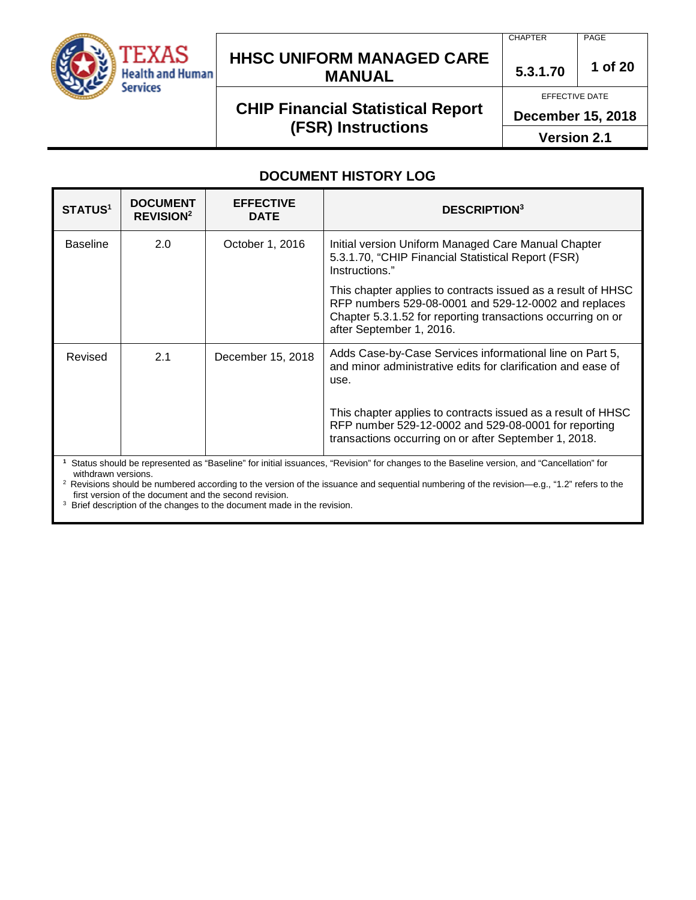

### **HHSC UNIFORM MANAGED CARE MANUAL 5.3.1.70 <sup>1</sup> of 20**

## **CHIP Financial Statistical Report (FSR) Instructions**

CHAPTER PAGE

EFFECTIVE DATE

**December 15, 2018**

**Version 2.1**

#### **DOCUMENT HISTORY LOG**

| <b>STATUS<sup>1</sup></b>                                                                                                                            | <b>DOCUMENT</b><br><b>REVISION<sup>2</sup></b> | <b>EFFECTIVE</b><br><b>DATE</b> | <b>DESCRIPTION</b> <sup>3</sup>                                                                                                                                                                                 |
|------------------------------------------------------------------------------------------------------------------------------------------------------|------------------------------------------------|---------------------------------|-----------------------------------------------------------------------------------------------------------------------------------------------------------------------------------------------------------------|
| <b>Baseline</b>                                                                                                                                      | 2.0                                            | October 1, 2016                 | Initial version Uniform Managed Care Manual Chapter<br>5.3.1.70, "CHIP Financial Statistical Report (FSR)<br>Instructions."                                                                                     |
|                                                                                                                                                      |                                                |                                 | This chapter applies to contracts issued as a result of HHSC<br>RFP numbers 529-08-0001 and 529-12-0002 and replaces<br>Chapter 5.3.1.52 for reporting transactions occurring on or<br>after September 1, 2016. |
| Revised                                                                                                                                              | 2.1                                            | December 15, 2018               | Adds Case-by-Case Services informational line on Part 5,<br>and minor administrative edits for clarification and ease of<br>use.                                                                                |
|                                                                                                                                                      |                                                |                                 | This chapter applies to contracts issued as a result of HHSC<br>RFP number 529-12-0002 and 529-08-0001 for reporting<br>transactions occurring on or after September 1, 2018.                                   |
| <sup>1</sup> Status should be represented as "Raseline" for initial issuances "Revision" for channes to the Raseline version, and "Cancellation" for |                                                |                                 |                                                                                                                                                                                                                 |

**1** tus should be represented as "Baseline" for initial issuances, "Revision" for changes to the Baseline version, and "Cancellation" for withdrawn versions.

<sup>2</sup> Revisions should be numbered according to the version of the issuance and sequential numbering of the revision—e.g., "1.2" refers to the first version of the document and the second revision.

<sup>3</sup> Brief description of the changes to the document made in the revision.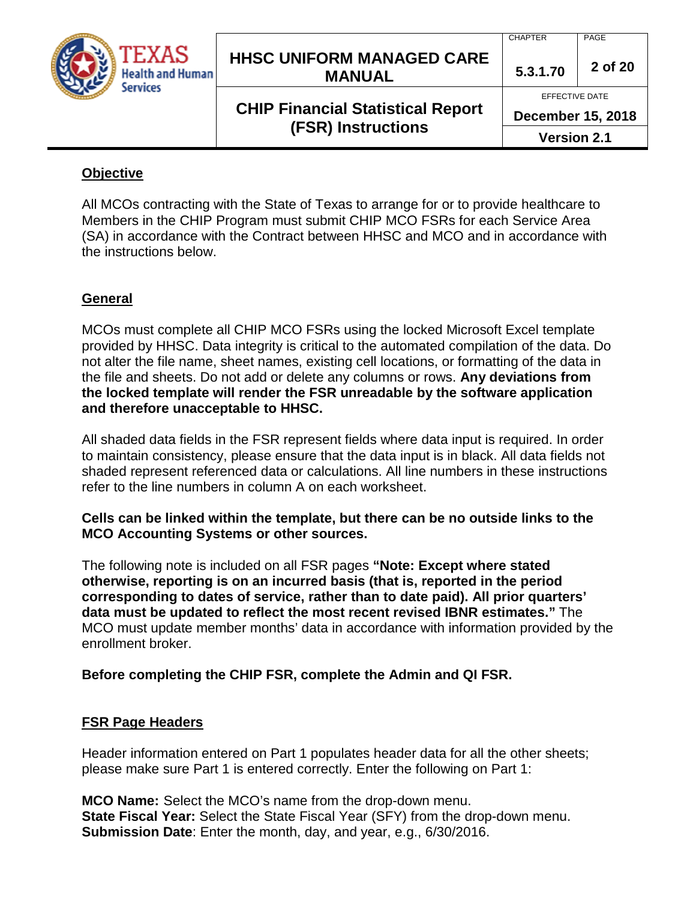

### **HHSC UNIFORM MANAGED CARE MANUAL 5.3.1.70 <sup>2</sup> of 20**

## **CHIP Financial Statistical Report (FSR) Instructions**

CHAPTER PAGE

EFFECTIVE DATE

**December 15, 2018**

**Version 2.1**

#### **Objective**

All MCOs contracting with the State of Texas to arrange for or to provide healthcare to Members in the CHIP Program must submit CHIP MCO FSRs for each Service Area (SA) in accordance with the Contract between HHSC and MCO and in accordance with the instructions below.

### **General**

MCOs must complete all CHIP MCO FSRs using the locked Microsoft Excel template provided by HHSC. Data integrity is critical to the automated compilation of the data. Do not alter the file name, sheet names, existing cell locations, or formatting of the data in the file and sheets. Do not add or delete any columns or rows. **Any deviations from the locked template will render the FSR unreadable by the software application and therefore unacceptable to HHSC.**

All shaded data fields in the FSR represent fields where data input is required. In order to maintain consistency, please ensure that the data input is in black. All data fields not shaded represent referenced data or calculations. All line numbers in these instructions refer to the line numbers in column A on each worksheet.

#### **Cells can be linked within the template, but there can be no outside links to the MCO Accounting Systems or other sources.**

The following note is included on all FSR pages **"Note: Except where stated otherwise, reporting is on an incurred basis (that is, reported in the period corresponding to dates of service, rather than to date paid). All prior quarters' data must be updated to reflect the most recent revised IBNR estimates."** The MCO must update member months' data in accordance with information provided by the enrollment broker.

#### **Before completing the CHIP FSR, complete the Admin and QI FSR.**

#### **FSR Page Headers**

Header information entered on Part 1 populates header data for all the other sheets; please make sure Part 1 is entered correctly. Enter the following on Part 1:

**MCO Name:** Select the MCO's name from the drop-down menu. **State Fiscal Year:** Select the State Fiscal Year (SFY) from the drop-down menu. **Submission Date**: Enter the month, day, and year, e.g., 6/30/2016.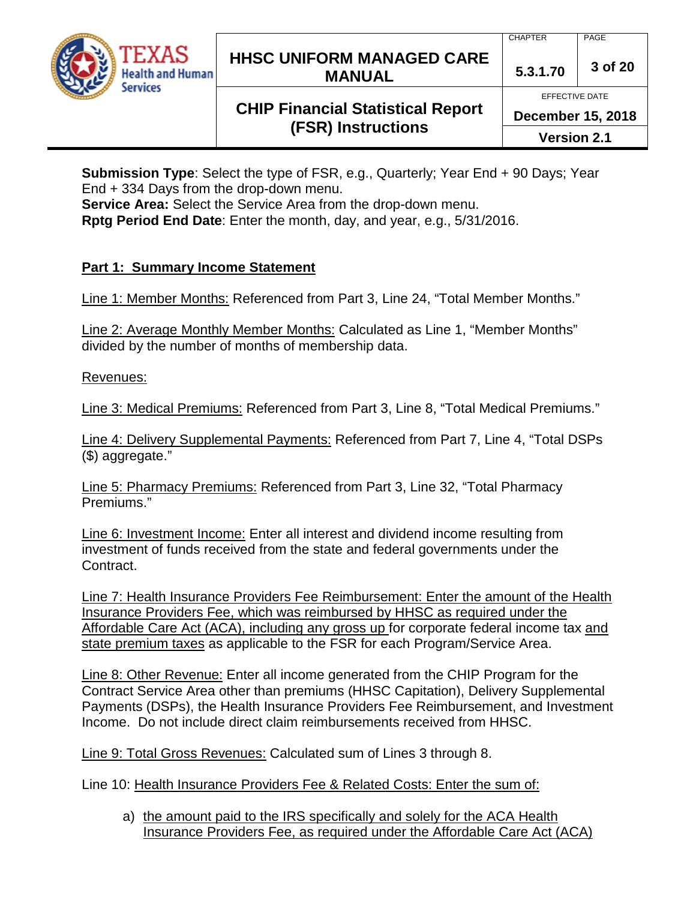

### **HHSC UNIFORM MANAGED CARE MANUAL 5.3.1.70 <sup>3</sup> of 20**

#### CHAPTER PAGE

EFFECTIVE DATE

**December 15, 2018**

**CHIP Financial Statistical Report (FSR) Instructions**

**Submission Type**: Select the type of FSR, e.g., Quarterly; Year End + 90 Days; Year End + 334 Days from the drop-down menu.

**Service Area:** Select the Service Area from the drop-down menu.

**Rptg Period End Date**: Enter the month, day, and year, e.g., 5/31/2016.

### **Part 1: Summary Income Statement**

Line 1: Member Months: Referenced from Part 3, Line 24, "Total Member Months."

Line 2: Average Monthly Member Months: Calculated as Line 1, "Member Months" divided by the number of months of membership data.

Revenues:

Line 3: Medical Premiums: Referenced from Part 3, Line 8, "Total Medical Premiums."

Line 4: Delivery Supplemental Payments: Referenced from Part 7, Line 4, "Total DSPs (\$) aggregate."

Line 5: Pharmacy Premiums: Referenced from Part 3, Line 32, "Total Pharmacy Premiums."

Line 6: Investment Income: Enter all interest and dividend income resulting from investment of funds received from the state and federal governments under the Contract.

Line 7: Health Insurance Providers Fee Reimbursement: Enter the amount of the Health Insurance Providers Fee, which was reimbursed by HHSC as required under the Affordable Care Act (ACA), including any gross up for corporate federal income tax and state premium taxes as applicable to the FSR for each Program/Service Area.

Line 8: Other Revenue: Enter all income generated from the CHIP Program for the Contract Service Area other than premiums (HHSC Capitation), Delivery Supplemental Payments (DSPs), the Health Insurance Providers Fee Reimbursement, and Investment Income. Do not include direct claim reimbursements received from HHSC.

Line 9: Total Gross Revenues: Calculated sum of Lines 3 through 8.

Line 10: Health Insurance Providers Fee & Related Costs: Enter the sum of:

a) the amount paid to the IRS specifically and solely for the ACA Health Insurance Providers Fee, as required under the Affordable Care Act (ACA)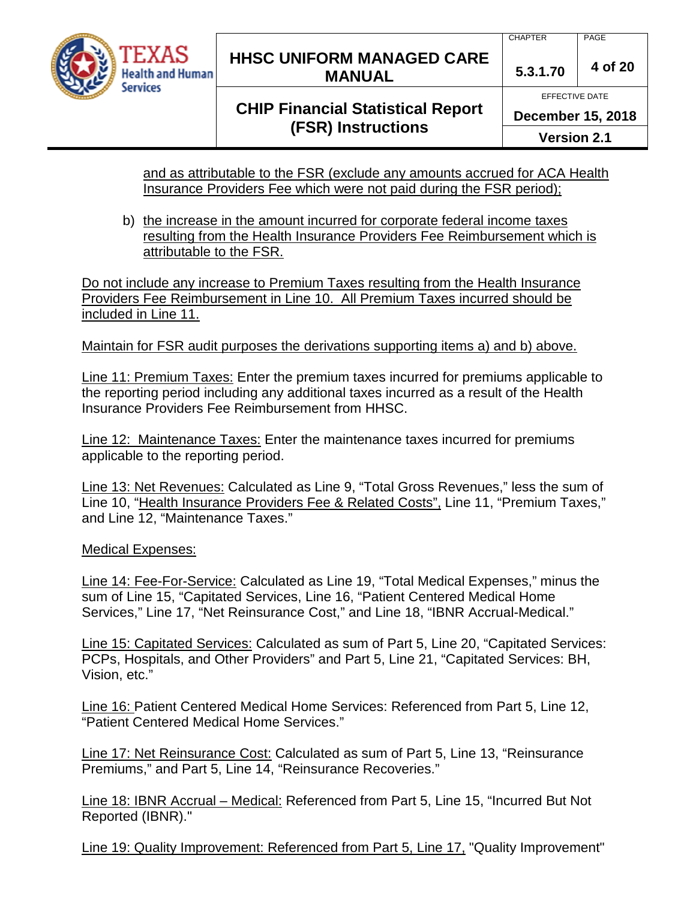

### **HHSC UNIFORM MANAGED CARE MANUAL 5.3.1.70 <sup>4</sup> of 20**

# **CHIP Financial Statistical Report (FSR) Instructions**

EFFECTIVE DATE **December 15, 2018**

**Version 2.1**

and as attributable to the FSR (exclude any amounts accrued for ACA Health Insurance Providers Fee which were not paid during the FSR period);

b) the increase in the amount incurred for corporate federal income taxes resulting from the Health Insurance Providers Fee Reimbursement which is attributable to the FSR.

Do not include any increase to Premium Taxes resulting from the Health Insurance Providers Fee Reimbursement in Line 10. All Premium Taxes incurred should be included in Line 11.

#### Maintain for FSR audit purposes the derivations supporting items a) and b) above.

Line 11: Premium Taxes: Enter the premium taxes incurred for premiums applicable to the reporting period including any additional taxes incurred as a result of the Health Insurance Providers Fee Reimbursement from HHSC.

Line 12: Maintenance Taxes: Enter the maintenance taxes incurred for premiums applicable to the reporting period.

Line 13: Net Revenues: Calculated as Line 9, "Total Gross Revenues," less the sum of Line 10, "Health Insurance Providers Fee & Related Costs", Line 11, "Premium Taxes," and Line 12, "Maintenance Taxes."

#### Medical Expenses:

Line 14: Fee-For-Service: Calculated as Line 19, "Total Medical Expenses," minus the sum of Line 15, "Capitated Services, Line 16, "Patient Centered Medical Home Services," Line 17, "Net Reinsurance Cost," and Line 18, "IBNR Accrual-Medical."

Line 15: Capitated Services: Calculated as sum of Part 5, Line 20, "Capitated Services: PCPs, Hospitals, and Other Providers" and Part 5, Line 21, "Capitated Services: BH, Vision, etc."

Line 16: Patient Centered Medical Home Services: Referenced from Part 5, Line 12, "Patient Centered Medical Home Services."

Line 17: Net Reinsurance Cost: Calculated as sum of Part 5, Line 13, "Reinsurance Premiums," and Part 5, Line 14, "Reinsurance Recoveries."

Line 18: IBNR Accrual – Medical: Referenced from Part 5, Line 15, "Incurred But Not Reported (IBNR)."

Line 19: Quality Improvement: Referenced from Part 5, Line 17, "Quality Improvement"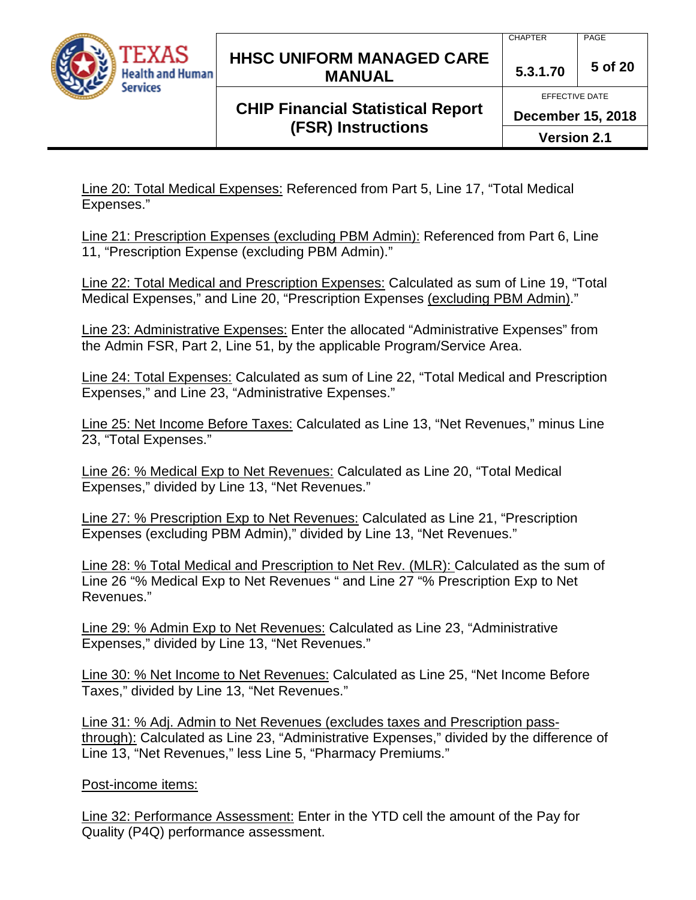

### **HHSC UNIFORM MANAGED CARE MANUAL 5.3.1.70 <sup>5</sup> of 20**

## **CHIP Financial Statistical Report (FSR) Instructions**

CHAPTER PAGE

EFFECTIVE DATE

**December 15, 2018**

**Version 2.1**

Line 20: Total Medical Expenses: Referenced from Part 5, Line 17, "Total Medical Expenses."

Line 21: Prescription Expenses (excluding PBM Admin): Referenced from Part 6, Line 11, "Prescription Expense (excluding PBM Admin)."

Line 22: Total Medical and Prescription Expenses: Calculated as sum of Line 19, "Total Medical Expenses," and Line 20, "Prescription Expenses (excluding PBM Admin)."

Line 23: Administrative Expenses: Enter the allocated "Administrative Expenses" from the Admin FSR, Part 2, Line 51, by the applicable Program/Service Area.

Line 24: Total Expenses: Calculated as sum of Line 22, "Total Medical and Prescription Expenses," and Line 23, "Administrative Expenses."

Line 25: Net Income Before Taxes: Calculated as Line 13, "Net Revenues," minus Line 23, "Total Expenses."

Line 26: % Medical Exp to Net Revenues: Calculated as Line 20, "Total Medical Expenses," divided by Line 13, "Net Revenues."

Line 27: % Prescription Exp to Net Revenues: Calculated as Line 21, "Prescription Expenses (excluding PBM Admin)," divided by Line 13, "Net Revenues."

Line 28: % Total Medical and Prescription to Net Rev. (MLR): Calculated as the sum of Line 26 "% Medical Exp to Net Revenues " and Line 27 "% Prescription Exp to Net Revenues."

Line 29: % Admin Exp to Net Revenues: Calculated as Line 23, "Administrative Expenses," divided by Line 13, "Net Revenues."

Line 30: % Net Income to Net Revenues: Calculated as Line 25, "Net Income Before Taxes," divided by Line 13, "Net Revenues."

Line 31: % Adj. Admin to Net Revenues (excludes taxes and Prescription passthrough): Calculated as Line 23, "Administrative Expenses," divided by the difference of Line 13, "Net Revenues," less Line 5, "Pharmacy Premiums."

### Post-income items:

Line 32: Performance Assessment: Enter in the YTD cell the amount of the Pay for Quality (P4Q) performance assessment.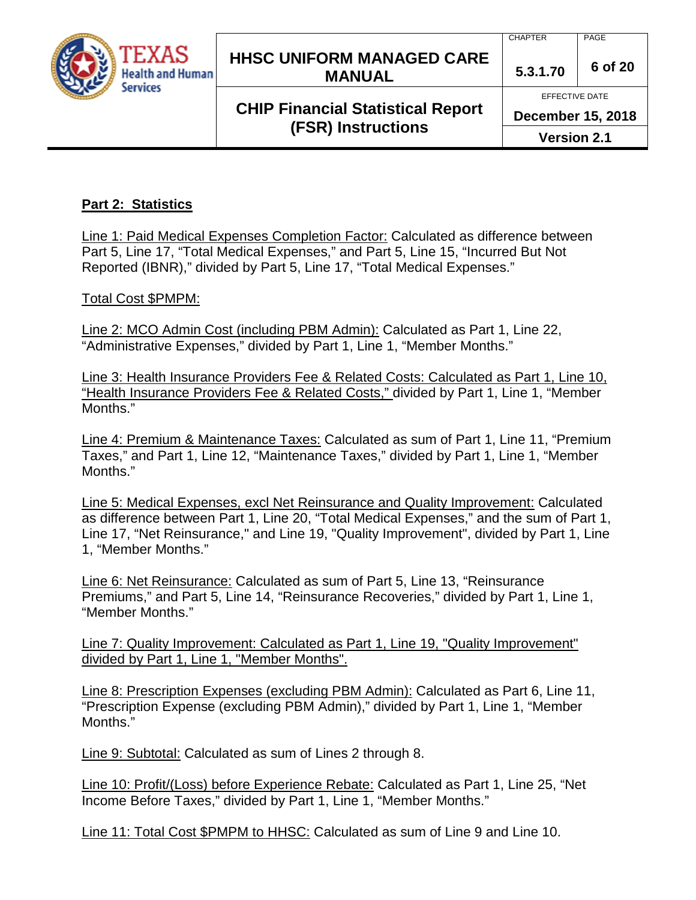

### **HHSC UNIFORM MANAGED CARE MANUAL 5.3.1.70 <sup>6</sup> of 20**

## **CHIP Financial Statistical Report (FSR) Instructions**

**December 15, 2018**

**Version 2.1**

### **Part 2: Statistics**

Line 1: Paid Medical Expenses Completion Factor: Calculated as difference between Part 5, Line 17, "Total Medical Expenses," and Part 5, Line 15, "Incurred But Not Reported (IBNR)," divided by Part 5, Line 17, "Total Medical Expenses."

#### Total Cost \$PMPM:

Line 2: MCO Admin Cost (including PBM Admin): Calculated as Part 1, Line 22, "Administrative Expenses," divided by Part 1, Line 1, "Member Months."

Line 3: Health Insurance Providers Fee & Related Costs: Calculated as Part 1, Line 10, "Health Insurance Providers Fee & Related Costs," divided by Part 1, Line 1, "Member Months."

Line 4: Premium & Maintenance Taxes: Calculated as sum of Part 1, Line 11, "Premium Taxes," and Part 1, Line 12, "Maintenance Taxes," divided by Part 1, Line 1, "Member Months."

Line 5: Medical Expenses, excl Net Reinsurance and Quality Improvement: Calculated as difference between Part 1, Line 20, "Total Medical Expenses," and the sum of Part 1, Line 17, "Net Reinsurance," and Line 19, "Quality Improvement", divided by Part 1, Line 1, "Member Months."

Line 6: Net Reinsurance: Calculated as sum of Part 5, Line 13, "Reinsurance Premiums," and Part 5, Line 14, "Reinsurance Recoveries," divided by Part 1, Line 1, "Member Months."

Line 7: Quality Improvement: Calculated as Part 1, Line 19, "Quality Improvement" divided by Part 1, Line 1, "Member Months".

Line 8: Prescription Expenses (excluding PBM Admin): Calculated as Part 6, Line 11, "Prescription Expense (excluding PBM Admin)," divided by Part 1, Line 1, "Member Months."

Line 9: Subtotal: Calculated as sum of Lines 2 through 8.

Line 10: Profit/(Loss) before Experience Rebate: Calculated as Part 1, Line 25, "Net Income Before Taxes," divided by Part 1, Line 1, "Member Months."

Line 11: Total Cost \$PMPM to HHSC: Calculated as sum of Line 9 and Line 10.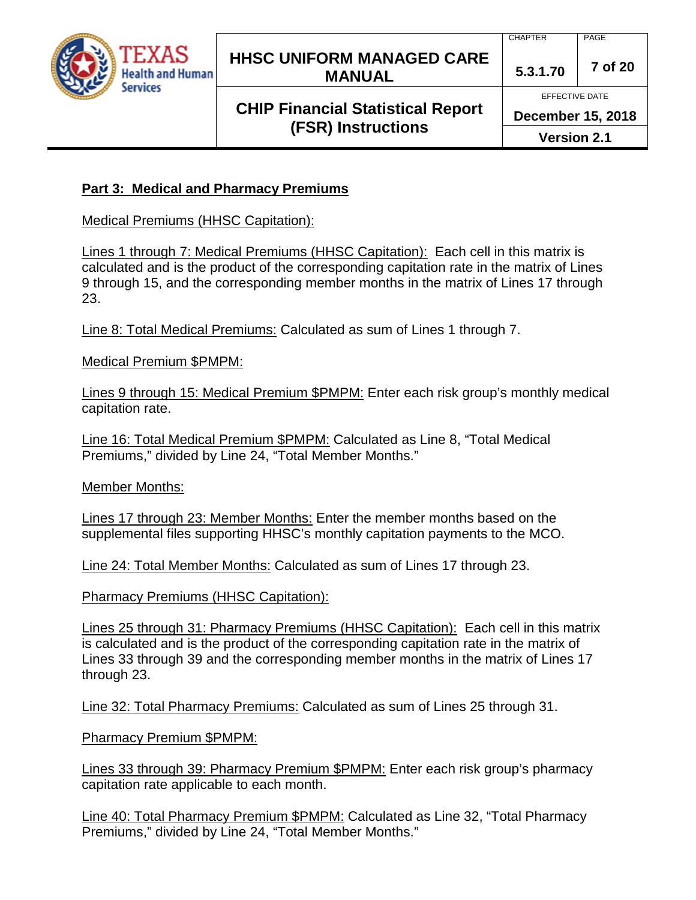

### **HHSC UNIFORM MANAGED CARE MANUAL 5.3.1.70 <sup>7</sup> of 20**

## **CHIP Financial Statistical Report (FSR) Instructions**

CHAPTER PAGE

EFFECTIVE DATE

**December 15, 2018**

**Version 2.1**

#### **Part 3: Medical and Pharmacy Premiums**

Medical Premiums (HHSC Capitation):

Lines 1 through 7: Medical Premiums (HHSC Capitation): Each cell in this matrix is calculated and is the product of the corresponding capitation rate in the matrix of Lines 9 through 15, and the corresponding member months in the matrix of Lines 17 through 23.

Line 8: Total Medical Premiums: Calculated as sum of Lines 1 through 7.

Medical Premium \$PMPM:

Lines 9 through 15: Medical Premium \$PMPM: Enter each risk group's monthly medical capitation rate.

Line 16: Total Medical Premium \$PMPM: Calculated as Line 8, "Total Medical Premiums," divided by Line 24, "Total Member Months."

Member Months:

Lines 17 through 23: Member Months: Enter the member months based on the supplemental files supporting HHSC's monthly capitation payments to the MCO.

Line 24: Total Member Months: Calculated as sum of Lines 17 through 23.

Pharmacy Premiums (HHSC Capitation):

Lines 25 through 31: Pharmacy Premiums (HHSC Capitation): Each cell in this matrix is calculated and is the product of the corresponding capitation rate in the matrix of Lines 33 through 39 and the corresponding member months in the matrix of Lines 17 through 23.

Line 32: Total Pharmacy Premiums: Calculated as sum of Lines 25 through 31.

Pharmacy Premium \$PMPM:

Lines 33 through 39: Pharmacy Premium \$PMPM: Enter each risk group's pharmacy capitation rate applicable to each month.

Line 40: Total Pharmacy Premium \$PMPM: Calculated as Line 32, "Total Pharmacy Premiums," divided by Line 24, "Total Member Months."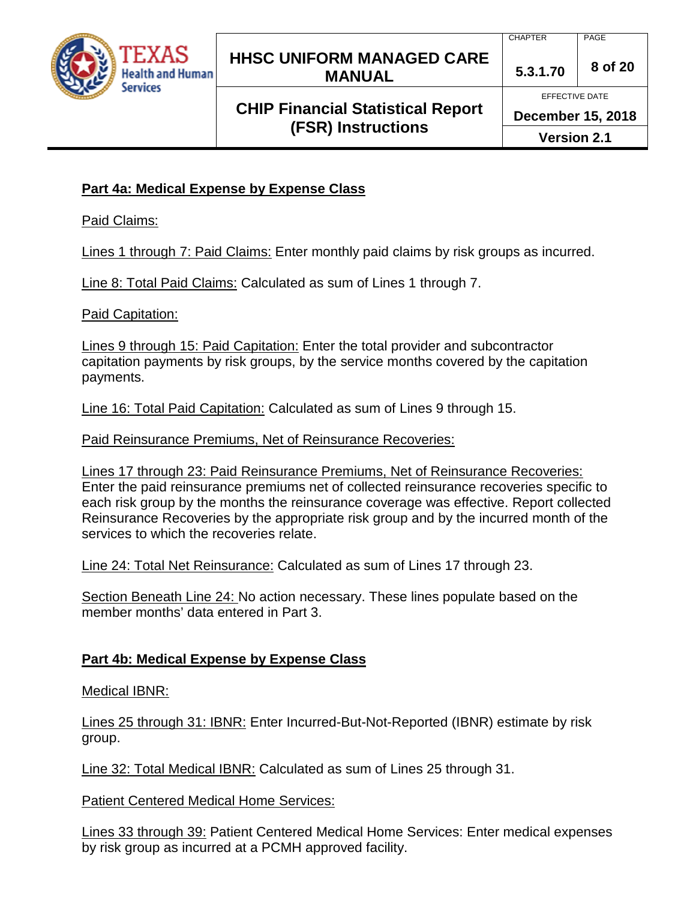

### **HHSC UNIFORM MANAGED CARE MANUAL 5.3.1.70 <sup>8</sup> of 20**

## **CHIP Financial Statistical Report (FSR) Instructions**

CHAPTER PAGE

EFFECTIVE DATE

**December 15, 2018**

**Version 2.1**

### **Part 4a: Medical Expense by Expense Class**

Paid Claims:

Lines 1 through 7: Paid Claims: Enter monthly paid claims by risk groups as incurred.

Line 8: Total Paid Claims: Calculated as sum of Lines 1 through 7.

Paid Capitation:

Lines 9 through 15: Paid Capitation: Enter the total provider and subcontractor capitation payments by risk groups, by the service months covered by the capitation payments.

Line 16: Total Paid Capitation: Calculated as sum of Lines 9 through 15.

Paid Reinsurance Premiums, Net of Reinsurance Recoveries:

Lines 17 through 23: Paid Reinsurance Premiums, Net of Reinsurance Recoveries: Enter the paid reinsurance premiums net of collected reinsurance recoveries specific to each risk group by the months the reinsurance coverage was effective. Report collected Reinsurance Recoveries by the appropriate risk group and by the incurred month of the services to which the recoveries relate.

Line 24: Total Net Reinsurance: Calculated as sum of Lines 17 through 23.

Section Beneath Line 24: No action necessary. These lines populate based on the member months' data entered in Part 3.

### **Part 4b: Medical Expense by Expense Class**

Medical IBNR:

Lines 25 through 31: IBNR: Enter Incurred-But-Not-Reported (IBNR) estimate by risk group.

Line 32: Total Medical IBNR: Calculated as sum of Lines 25 through 31.

Patient Centered Medical Home Services:

Lines 33 through 39: Patient Centered Medical Home Services: Enter medical expenses by risk group as incurred at a PCMH approved facility.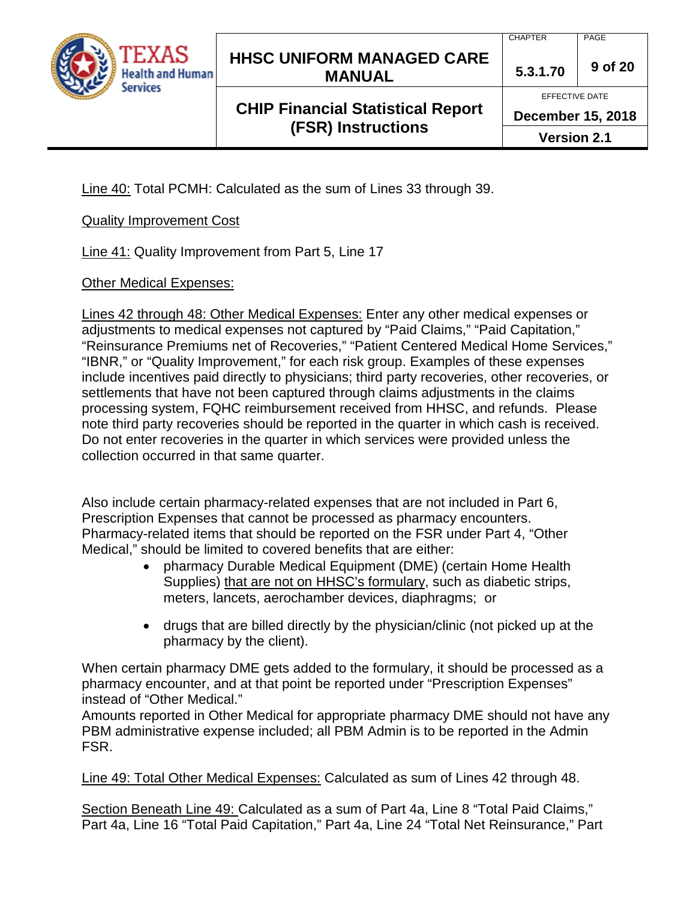

### **HHSC UNIFORM MANAGED CARE MANUAL 5.3.1.70 <sup>9</sup> of 20**

## **CHIP Financial Statistical Report (FSR) Instructions**

EFFECTIVE DATE

**December 15, 2018**

**Version 2.1**

Line 40: Total PCMH: Calculated as the sum of Lines 33 through 39.

#### Quality Improvement Cost

Line 41: Quality Improvement from Part 5, Line 17

#### Other Medical Expenses:

Lines 42 through 48: Other Medical Expenses: Enter any other medical expenses or adjustments to medical expenses not captured by "Paid Claims," "Paid Capitation," "Reinsurance Premiums net of Recoveries," "Patient Centered Medical Home Services," "IBNR," or "Quality Improvement," for each risk group. Examples of these expenses include incentives paid directly to physicians; third party recoveries, other recoveries, or settlements that have not been captured through claims adjustments in the claims processing system, FQHC reimbursement received from HHSC, and refunds. Please note third party recoveries should be reported in the quarter in which cash is received. Do not enter recoveries in the quarter in which services were provided unless the collection occurred in that same quarter.

Also include certain pharmacy-related expenses that are not included in Part 6, Prescription Expenses that cannot be processed as pharmacy encounters. Pharmacy-related items that should be reported on the FSR under Part 4, "Other Medical," should be limited to covered benefits that are either:

- pharmacy Durable Medical Equipment (DME) (certain Home Health Supplies) that are not on HHSC's formulary, such as diabetic strips, meters, lancets, aerochamber devices, diaphragms; or
- drugs that are billed directly by the physician/clinic (not picked up at the pharmacy by the client).

When certain pharmacy DME gets added to the formulary, it should be processed as a pharmacy encounter, and at that point be reported under "Prescription Expenses" instead of "Other Medical."

Amounts reported in Other Medical for appropriate pharmacy DME should not have any PBM administrative expense included; all PBM Admin is to be reported in the Admin FSR.

Line 49: Total Other Medical Expenses: Calculated as sum of Lines 42 through 48.

Section Beneath Line 49: Calculated as a sum of Part 4a, Line 8 "Total Paid Claims," Part 4a, Line 16 "Total Paid Capitation," Part 4a, Line 24 "Total Net Reinsurance," Part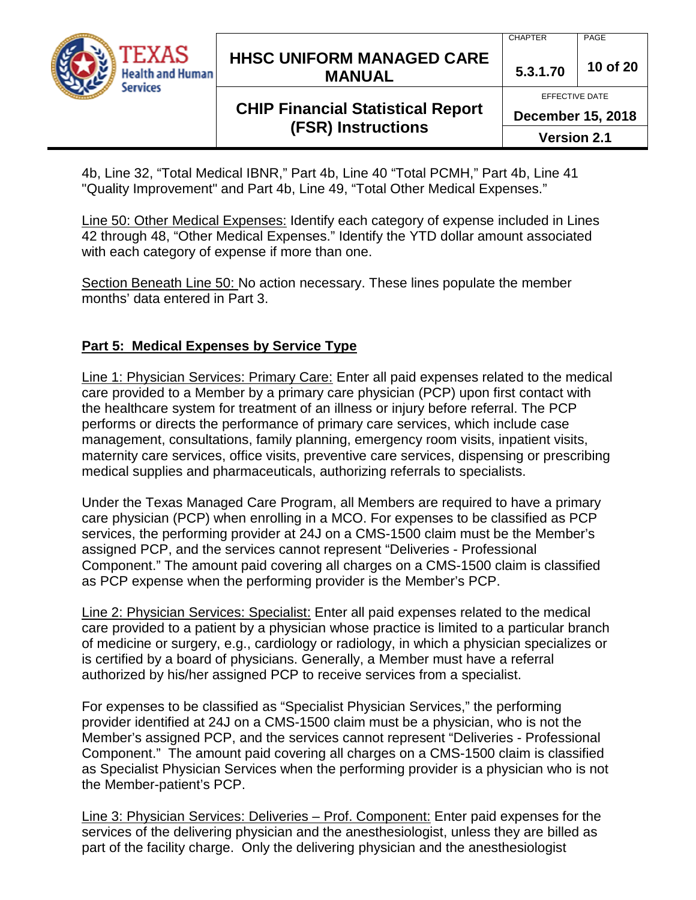

### **HHSC UNIFORM MANAGED CARE MANUAL 5.3.1.70 <sup>10</sup> of 20**

## **CHIP Financial Statistical Report (FSR) Instructions**

EFFECTIVE DATE

**December 15, 2018**

**Version 2.1**

4b, Line 32, "Total Medical IBNR," Part 4b, Line 40 "Total PCMH," Part 4b, Line 41 "Quality Improvement" and Part 4b, Line 49, "Total Other Medical Expenses."

Line 50: Other Medical Expenses: Identify each category of expense included in Lines 42 through 48, "Other Medical Expenses." Identify the YTD dollar amount associated with each category of expense if more than one.

Section Beneath Line 50: No action necessary. These lines populate the member months' data entered in Part 3.

### **Part 5: Medical Expenses by Service Type**

Line 1: Physician Services: Primary Care: Enter all paid expenses related to the medical care provided to a Member by a primary care physician (PCP) upon first contact with the healthcare system for treatment of an illness or injury before referral. The PCP performs or directs the performance of primary care services, which include case management, consultations, family planning, emergency room visits, inpatient visits, maternity care services, office visits, preventive care services, dispensing or prescribing medical supplies and pharmaceuticals, authorizing referrals to specialists.

Under the Texas Managed Care Program, all Members are required to have a primary care physician (PCP) when enrolling in a MCO. For expenses to be classified as PCP services, the performing provider at 24J on a CMS-1500 claim must be the Member's assigned PCP, and the services cannot represent "Deliveries - Professional Component." The amount paid covering all charges on a CMS-1500 claim is classified as PCP expense when the performing provider is the Member's PCP.

Line 2: Physician Services: Specialist: Enter all paid expenses related to the medical care provided to a patient by a physician whose practice is limited to a particular branch of medicine or surgery, e.g., cardiology or radiology, in which a physician specializes or is certified by a board of physicians. Generally, a Member must have a referral authorized by his/her assigned PCP to receive services from a specialist.

For expenses to be classified as "Specialist Physician Services," the performing provider identified at 24J on a CMS-1500 claim must be a physician, who is not the Member's assigned PCP, and the services cannot represent "Deliveries - Professional Component." The amount paid covering all charges on a CMS-1500 claim is classified as Specialist Physician Services when the performing provider is a physician who is not the Member-patient's PCP.

Line 3: Physician Services: Deliveries – Prof. Component: Enter paid expenses for the services of the delivering physician and the anesthesiologist, unless they are billed as part of the facility charge. Only the delivering physician and the anesthesiologist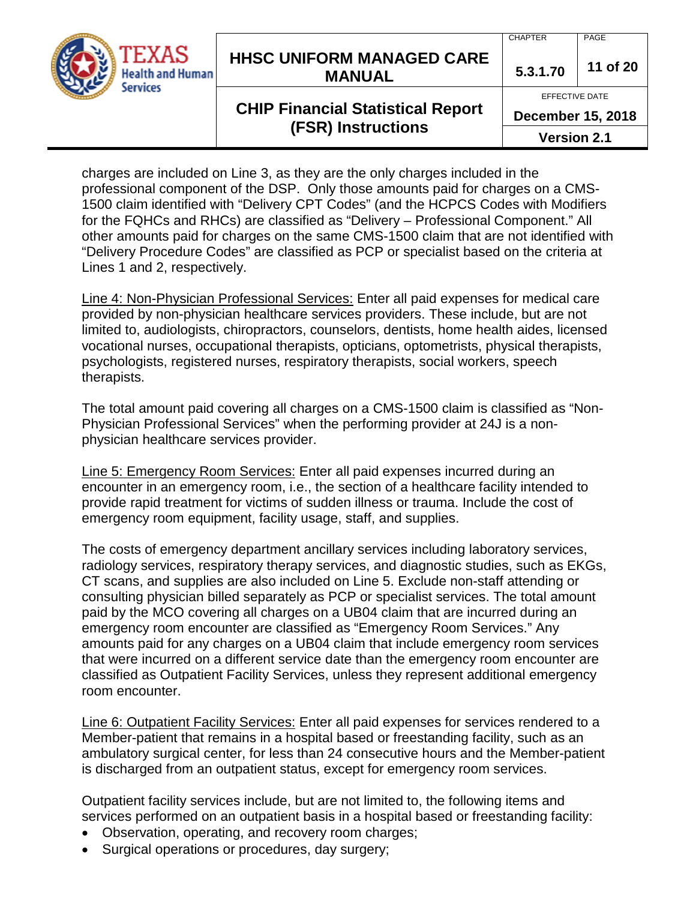

### **HHSC UNIFORM MANAGED CARE MANUAL 5.3.1.70 <sup>11</sup> of 20**

# **CHIP Financial Statistical Report (FSR) Instructions**

CHAPTER PAGE

EFFECTIVE DATE

**December 15, 2018**

**Version 2.1**

charges are included on Line 3, as they are the only charges included in the professional component of the DSP. Only those amounts paid for charges on a CMS-1500 claim identified with "Delivery CPT Codes" (and the HCPCS Codes with Modifiers for the FQHCs and RHCs) are classified as "Delivery – Professional Component." All other amounts paid for charges on the same CMS-1500 claim that are not identified with "Delivery Procedure Codes" are classified as PCP or specialist based on the criteria at Lines 1 and 2, respectively.

Line 4: Non-Physician Professional Services: Enter all paid expenses for medical care provided by non-physician healthcare services providers. These include, but are not limited to, audiologists, chiropractors, counselors, dentists, home health aides, licensed vocational nurses, occupational therapists, opticians, optometrists, physical therapists, psychologists, registered nurses, respiratory therapists, social workers, speech therapists.

The total amount paid covering all charges on a CMS-1500 claim is classified as "Non-Physician Professional Services" when the performing provider at 24J is a nonphysician healthcare services provider.

Line 5: Emergency Room Services: Enter all paid expenses incurred during an encounter in an emergency room, i.e., the section of a healthcare facility intended to provide rapid treatment for victims of sudden illness or trauma. Include the cost of emergency room equipment, facility usage, staff, and supplies.

The costs of emergency department ancillary services including laboratory services, radiology services, respiratory therapy services, and diagnostic studies, such as EKGs, CT scans, and supplies are also included on Line 5. Exclude non-staff attending or consulting physician billed separately as PCP or specialist services. The total amount paid by the MCO covering all charges on a UB04 claim that are incurred during an emergency room encounter are classified as "Emergency Room Services." Any amounts paid for any charges on a UB04 claim that include emergency room services that were incurred on a different service date than the emergency room encounter are classified as Outpatient Facility Services, unless they represent additional emergency room encounter.

Line 6: Outpatient Facility Services: Enter all paid expenses for services rendered to a Member-patient that remains in a hospital based or freestanding facility, such as an ambulatory surgical center, for less than 24 consecutive hours and the Member-patient is discharged from an outpatient status, except for emergency room services.

Outpatient facility services include, but are not limited to, the following items and services performed on an outpatient basis in a hospital based or freestanding facility:

- Observation, operating, and recovery room charges;
- Surgical operations or procedures, day surgery;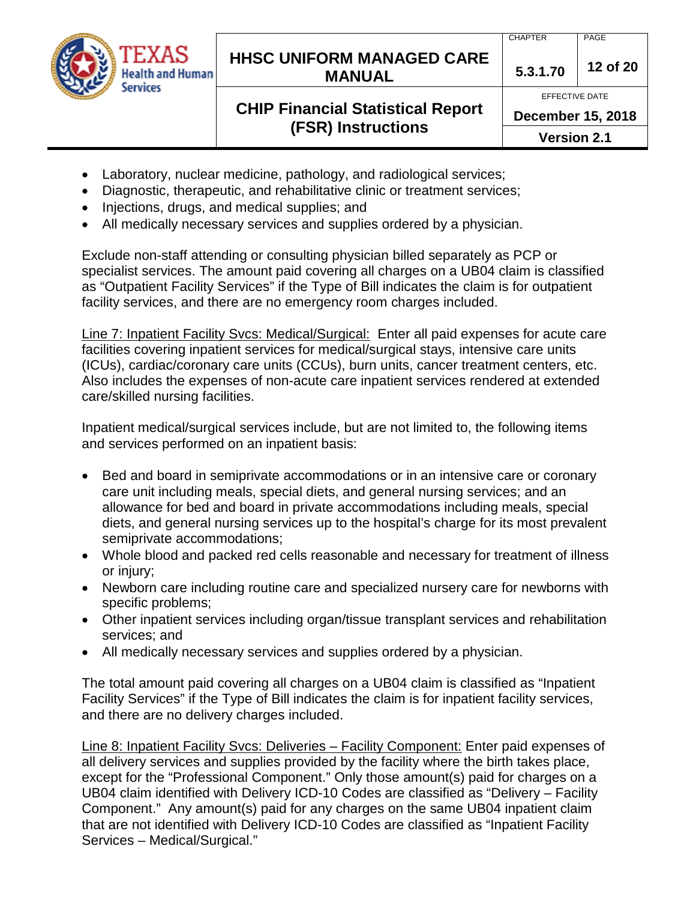

### **HHSC UNIFORM MANAGED CARE MANUAL 5.3.1.70 <sup>12</sup> of 20**

## **CHIP Financial Statistical Report (FSR) Instructions**

EFFECTIVE DATE

**December 15, 2018**

**Version 2.1**

- Laboratory, nuclear medicine, pathology, and radiological services;
- Diagnostic, therapeutic, and rehabilitative clinic or treatment services;
- Injections, drugs, and medical supplies; and
- All medically necessary services and supplies ordered by a physician.

Exclude non-staff attending or consulting physician billed separately as PCP or specialist services. The amount paid covering all charges on a UB04 claim is classified as "Outpatient Facility Services" if the Type of Bill indicates the claim is for outpatient facility services, and there are no emergency room charges included.

Line 7: Inpatient Facility Svcs: Medical/Surgical: Enter all paid expenses for acute care facilities covering inpatient services for medical/surgical stays, intensive care units (ICUs), cardiac/coronary care units (CCUs), burn units, cancer treatment centers, etc. Also includes the expenses of non-acute care inpatient services rendered at extended care/skilled nursing facilities.

Inpatient medical/surgical services include, but are not limited to, the following items and services performed on an inpatient basis:

- Bed and board in semiprivate accommodations or in an intensive care or coronary care unit including meals, special diets, and general nursing services; and an allowance for bed and board in private accommodations including meals, special diets, and general nursing services up to the hospital's charge for its most prevalent semiprivate accommodations;
- Whole blood and packed red cells reasonable and necessary for treatment of illness or injury;
- Newborn care including routine care and specialized nursery care for newborns with specific problems;
- Other inpatient services including organ/tissue transplant services and rehabilitation services; and
- All medically necessary services and supplies ordered by a physician.

The total amount paid covering all charges on a UB04 claim is classified as "Inpatient Facility Services" if the Type of Bill indicates the claim is for inpatient facility services, and there are no delivery charges included.

Line 8: Inpatient Facility Svcs: Deliveries – Facility Component: Enter paid expenses of all delivery services and supplies provided by the facility where the birth takes place, except for the "Professional Component." Only those amount(s) paid for charges on a UB04 claim identified with Delivery ICD-10 Codes are classified as "Delivery – Facility Component." Any amount(s) paid for any charges on the same UB04 inpatient claim that are not identified with Delivery ICD-10 Codes are classified as "Inpatient Facility Services – Medical/Surgical."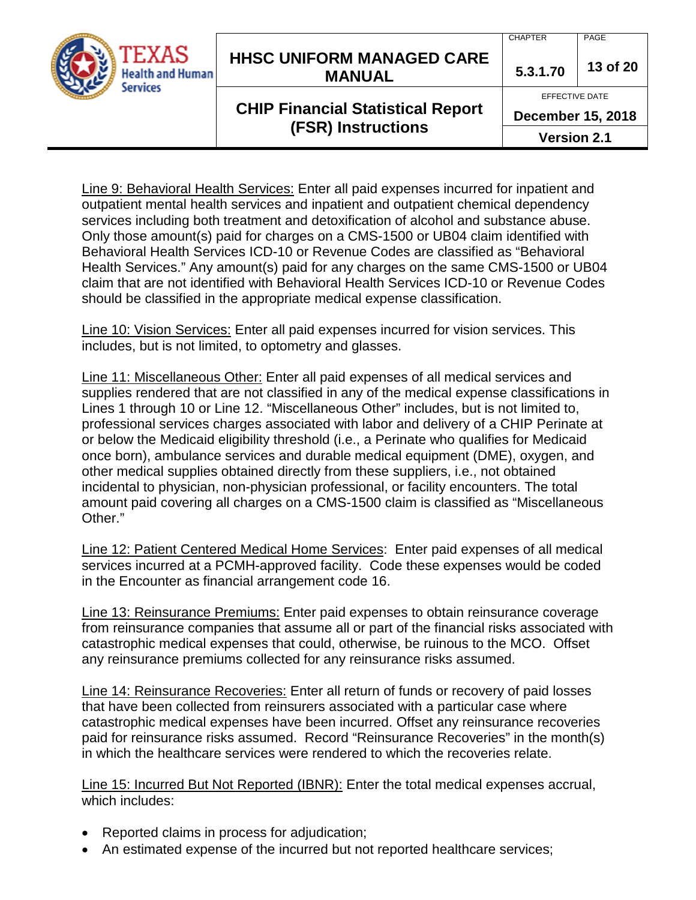

### **HHSC UNIFORM MANAGED CARE MANUAL 5.3.1.70 <sup>13</sup> of 20**

## **CHIP Financial Statistical Report (FSR) Instructions**

CHAPTER PAGE

EFFECTIVE DATE

**December 15, 2018**

**Version 2.1**

Line 9: Behavioral Health Services: Enter all paid expenses incurred for inpatient and outpatient mental health services and inpatient and outpatient chemical dependency services including both treatment and detoxification of alcohol and substance abuse. Only those amount(s) paid for charges on a CMS-1500 or UB04 claim identified with Behavioral Health Services ICD-10 or Revenue Codes are classified as "Behavioral Health Services." Any amount(s) paid for any charges on the same CMS-1500 or UB04 claim that are not identified with Behavioral Health Services ICD-10 or Revenue Codes should be classified in the appropriate medical expense classification.

Line 10: Vision Services: Enter all paid expenses incurred for vision services. This includes, but is not limited, to optometry and glasses.

Line 11: Miscellaneous Other: Enter all paid expenses of all medical services and supplies rendered that are not classified in any of the medical expense classifications in Lines 1 through 10 or Line 12. "Miscellaneous Other" includes, but is not limited to, professional services charges associated with labor and delivery of a CHIP Perinate at or below the Medicaid eligibility threshold (i.e., a Perinate who qualifies for Medicaid once born), ambulance services and durable medical equipment (DME), oxygen, and other medical supplies obtained directly from these suppliers, i.e., not obtained incidental to physician, non-physician professional, or facility encounters. The total amount paid covering all charges on a CMS-1500 claim is classified as "Miscellaneous Other."

Line 12: Patient Centered Medical Home Services: Enter paid expenses of all medical services incurred at a PCMH-approved facility. Code these expenses would be coded in the Encounter as financial arrangement code 16.

Line 13: Reinsurance Premiums: Enter paid expenses to obtain reinsurance coverage from reinsurance companies that assume all or part of the financial risks associated with catastrophic medical expenses that could, otherwise, be ruinous to the MCO. Offset any reinsurance premiums collected for any reinsurance risks assumed.

Line 14: Reinsurance Recoveries: Enter all return of funds or recovery of paid losses that have been collected from reinsurers associated with a particular case where catastrophic medical expenses have been incurred. Offset any reinsurance recoveries paid for reinsurance risks assumed. Record "Reinsurance Recoveries" in the month(s) in which the healthcare services were rendered to which the recoveries relate.

Line 15: Incurred But Not Reported (IBNR): Enter the total medical expenses accrual, which includes:

- Reported claims in process for adjudication;
- An estimated expense of the incurred but not reported healthcare services;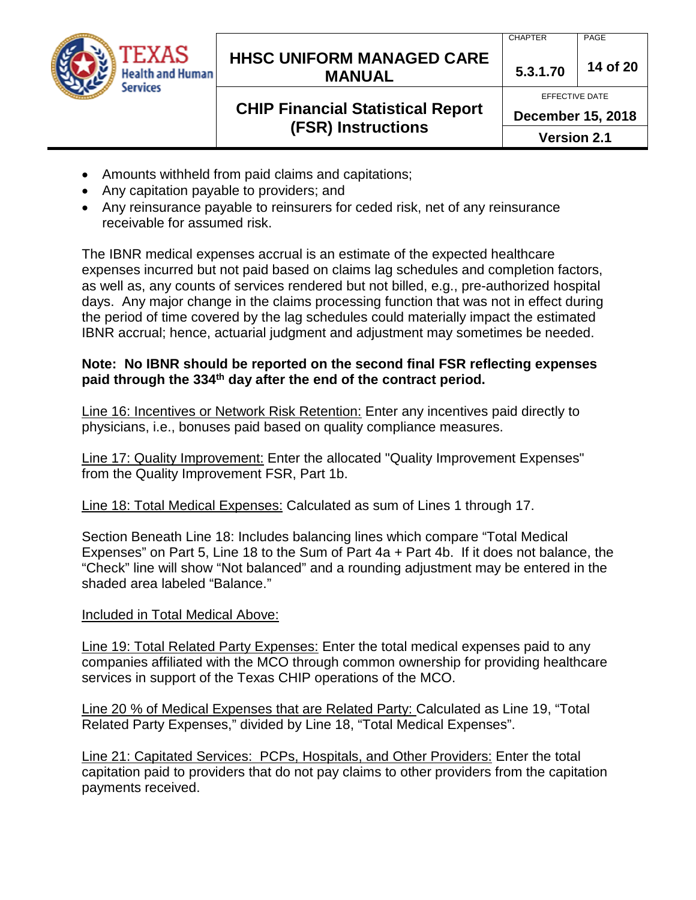

### **HHSC UNIFORM MANAGED CARE MANUAL 5.3.1.70 <sup>14</sup> of 20**

## **CHIP Financial Statistical Report (FSR) Instructions**

EFFECTIVE DATE

**December 15, 2018**

**Version 2.1**

- Amounts withheld from paid claims and capitations;
- Any capitation payable to providers; and
- Any reinsurance payable to reinsurers for ceded risk, net of any reinsurance receivable for assumed risk.

The IBNR medical expenses accrual is an estimate of the expected healthcare expenses incurred but not paid based on claims lag schedules and completion factors, as well as, any counts of services rendered but not billed, e.g., pre-authorized hospital days. Any major change in the claims processing function that was not in effect during the period of time covered by the lag schedules could materially impact the estimated IBNR accrual; hence, actuarial judgment and adjustment may sometimes be needed.

### **Note: No IBNR should be reported on the second final FSR reflecting expenses paid through the 334th day after the end of the contract period.**

Line 16: Incentives or Network Risk Retention: Enter any incentives paid directly to physicians, i.e., bonuses paid based on quality compliance measures.

Line 17: Quality Improvement: Enter the allocated "Quality Improvement Expenses" from the Quality Improvement FSR, Part 1b.

Line 18: Total Medical Expenses: Calculated as sum of Lines 1 through 17.

Section Beneath Line 18: Includes balancing lines which compare "Total Medical Expenses" on Part 5, Line 18 to the Sum of Part 4a + Part 4b. If it does not balance, the "Check" line will show "Not balanced" and a rounding adjustment may be entered in the shaded area labeled "Balance."

## Included in Total Medical Above:

Line 19: Total Related Party Expenses: Enter the total medical expenses paid to any companies affiliated with the MCO through common ownership for providing healthcare services in support of the Texas CHIP operations of the MCO.

Line 20 % of Medical Expenses that are Related Party: Calculated as Line 19, "Total Related Party Expenses," divided by Line 18, "Total Medical Expenses".

Line 21: Capitated Services: PCPs, Hospitals, and Other Providers: Enter the total capitation paid to providers that do not pay claims to other providers from the capitation payments received.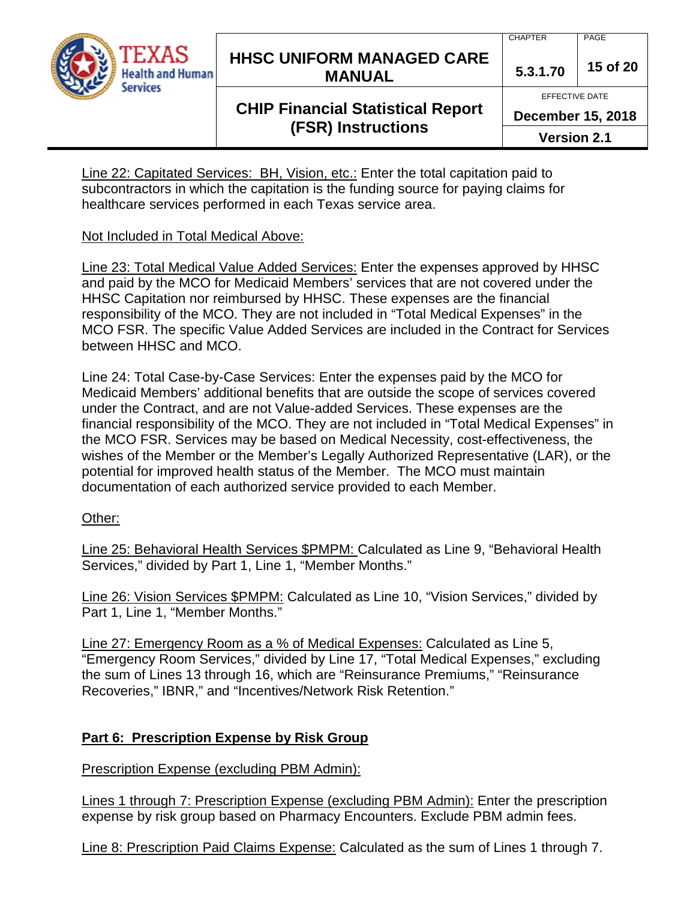

### **HHSC UNIFORM MANAGED CARE MANUAL 5.3.1.70 <sup>15</sup> of 20**

## **CHIP Financial Statistical Report (FSR) Instructions**

CHAPTER PAGE

EFFECTIVE DATE

**December 15, 2018**

**Version 2.1**

Line 22: Capitated Services: BH, Vision, etc.: Enter the total capitation paid to subcontractors in which the capitation is the funding source for paying claims for healthcare services performed in each Texas service area.

### Not Included in Total Medical Above:

Line 23: Total Medical Value Added Services: Enter the expenses approved by HHSC and paid by the MCO for Medicaid Members' services that are not covered under the HHSC Capitation nor reimbursed by HHSC. These expenses are the financial responsibility of the MCO. They are not included in "Total Medical Expenses" in the MCO FSR. The specific Value Added Services are included in the Contract for Services between HHSC and MCO.

Line 24: Total Case-by-Case Services: Enter the expenses paid by the MCO for Medicaid Members' additional benefits that are outside the scope of services covered under the Contract, and are not Value-added Services. These expenses are the financial responsibility of the MCO. They are not included in "Total Medical Expenses" in the MCO FSR. Services may be based on Medical Necessity, cost-effectiveness, the wishes of the Member or the Member's Legally Authorized Representative (LAR), or the potential for improved health status of the Member. The MCO must maintain documentation of each authorized service provided to each Member.

### Other:

Line 25: Behavioral Health Services \$PMPM: Calculated as Line 9, "Behavioral Health Services," divided by Part 1, Line 1, "Member Months."

Line 26: Vision Services \$PMPM: Calculated as Line 10, "Vision Services," divided by Part 1, Line 1, "Member Months."

Line 27: Emergency Room as a % of Medical Expenses: Calculated as Line 5, "Emergency Room Services," divided by Line 17, "Total Medical Expenses," excluding the sum of Lines 13 through 16, which are "Reinsurance Premiums," "Reinsurance Recoveries," IBNR," and "Incentives/Network Risk Retention."

### **Part 6: Prescription Expense by Risk Group**

Prescription Expense (excluding PBM Admin):

Lines 1 through 7: Prescription Expense (excluding PBM Admin): Enter the prescription expense by risk group based on Pharmacy Encounters. Exclude PBM admin fees.

Line 8: Prescription Paid Claims Expense: Calculated as the sum of Lines 1 through 7.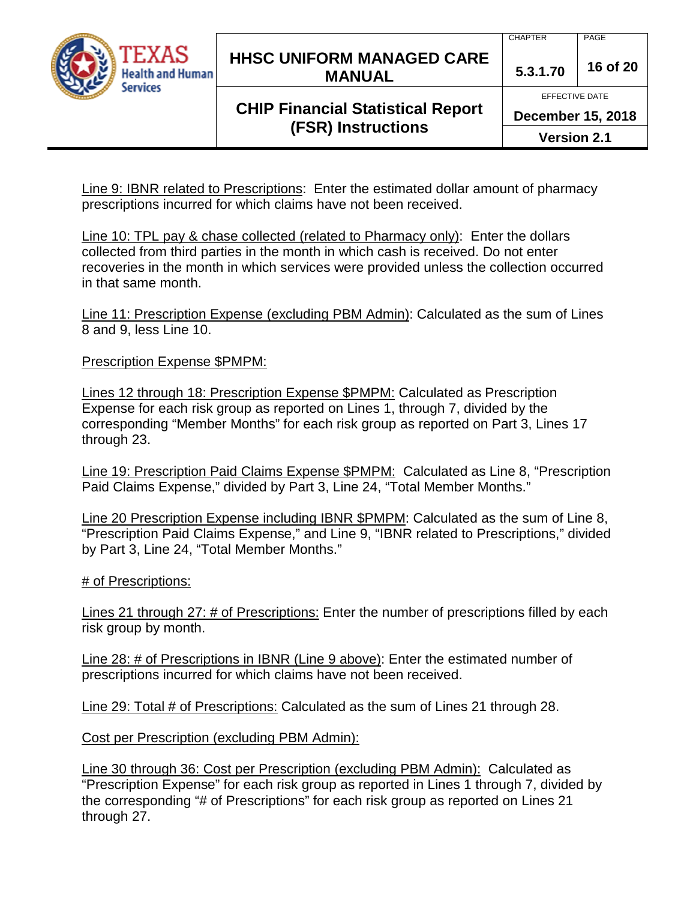

### **HHSC UNIFORM MANAGED CARE MANUAL 5.3.1.70 <sup>16</sup> of 20**

## **CHIP Financial Statistical Report (FSR) Instructions**

CHAPTER PAGE

EFFECTIVE DATE

**December 15, 2018**

**Version 2.1**

Line 9: IBNR related to Prescriptions: Enter the estimated dollar amount of pharmacy prescriptions incurred for which claims have not been received.

Line 10: TPL pay & chase collected (related to Pharmacy only): Enter the dollars collected from third parties in the month in which cash is received. Do not enter recoveries in the month in which services were provided unless the collection occurred in that same month.

Line 11: Prescription Expense (excluding PBM Admin): Calculated as the sum of Lines 8 and 9, less Line 10.

Prescription Expense \$PMPM:

Lines 12 through 18: Prescription Expense \$PMPM: Calculated as Prescription Expense for each risk group as reported on Lines 1, through 7, divided by the corresponding "Member Months" for each risk group as reported on Part 3, Lines 17 through 23.

Line 19: Prescription Paid Claims Expense \$PMPM: Calculated as Line 8, "Prescription Paid Claims Expense," divided by Part 3, Line 24, "Total Member Months."

Line 20 Prescription Expense including IBNR \$PMPM: Calculated as the sum of Line 8, "Prescription Paid Claims Expense," and Line 9, "IBNR related to Prescriptions," divided by Part 3, Line 24, "Total Member Months."

# of Prescriptions:

Lines 21 through 27: # of Prescriptions: Enter the number of prescriptions filled by each risk group by month.

Line 28: # of Prescriptions in IBNR (Line 9 above): Enter the estimated number of prescriptions incurred for which claims have not been received.

Line 29: Total # of Prescriptions: Calculated as the sum of Lines 21 through 28.

Cost per Prescription (excluding PBM Admin):

Line 30 through 36: Cost per Prescription (excluding PBM Admin): Calculated as "Prescription Expense" for each risk group as reported in Lines 1 through 7, divided by the corresponding "# of Prescriptions" for each risk group as reported on Lines 21 through 27.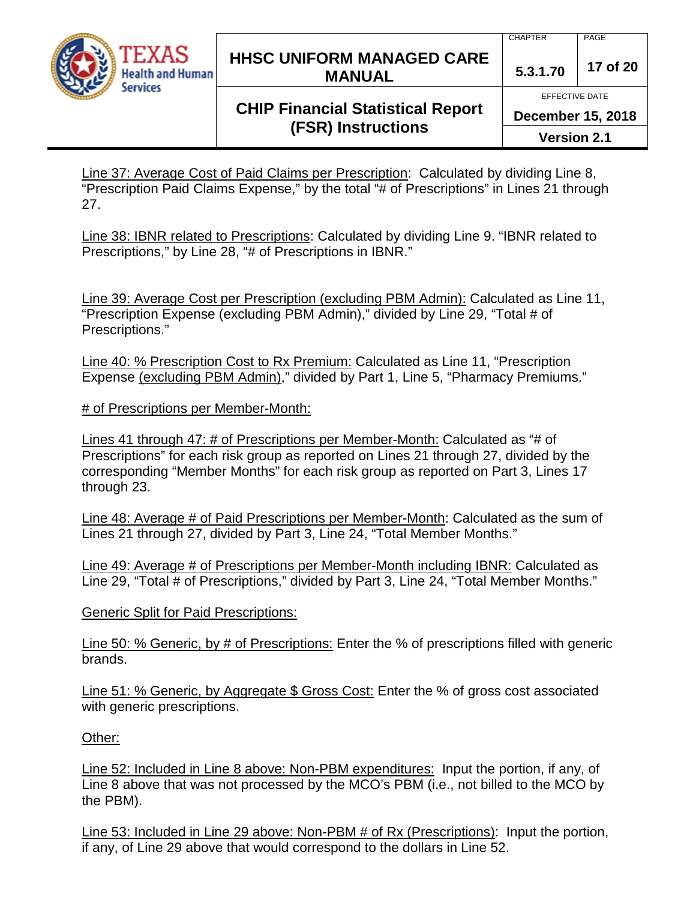

### **HHSC UNIFORM MANAGED CARE MANUAL 5.3.1.70 <sup>17</sup> of 20**

## **CHIP Financial Statistical Report (FSR) Instructions**

EFFECTIVE DATE

**December 15, 2018**

**Version 2.1**

Line 37: Average Cost of Paid Claims per Prescription: Calculated by dividing Line 8, "Prescription Paid Claims Expense," by the total "# of Prescriptions" in Lines 21 through 27.

Line 38: IBNR related to Prescriptions: Calculated by dividing Line 9. "IBNR related to Prescriptions," by Line 28, "# of Prescriptions in IBNR."

Line 39: Average Cost per Prescription (excluding PBM Admin): Calculated as Line 11, "Prescription Expense (excluding PBM Admin)," divided by Line 29, "Total # of Prescriptions."

Line 40: % Prescription Cost to Rx Premium: Calculated as Line 11, "Prescription Expense (excluding PBM Admin)," divided by Part 1, Line 5, "Pharmacy Premiums."

# of Prescriptions per Member-Month:

Lines 41 through 47: # of Prescriptions per Member-Month: Calculated as "# of Prescriptions" for each risk group as reported on Lines 21 through 27, divided by the corresponding "Member Months" for each risk group as reported on Part 3, Lines 17 through 23.

Line 48: Average # of Paid Prescriptions per Member-Month: Calculated as the sum of Lines 21 through 27, divided by Part 3, Line 24, "Total Member Months."

Line 49: Average # of Prescriptions per Member-Month including IBNR: Calculated as Line 29, "Total # of Prescriptions," divided by Part 3, Line 24, "Total Member Months."

**Generic Split for Paid Prescriptions:** 

Line 50: % Generic, by # of Prescriptions: Enter the % of prescriptions filled with generic brands.

Line 51: % Generic, by Aggregate \$ Gross Cost: Enter the % of gross cost associated with generic prescriptions.

Other:

Line 52: Included in Line 8 above: Non-PBM expenditures: Input the portion, if any, of Line 8 above that was not processed by the MCO's PBM (i.e., not billed to the MCO by the PBM).

Line 53: Included in Line 29 above: Non-PBM # of Rx (Prescriptions): Input the portion, if any, of Line 29 above that would correspond to the dollars in Line 52.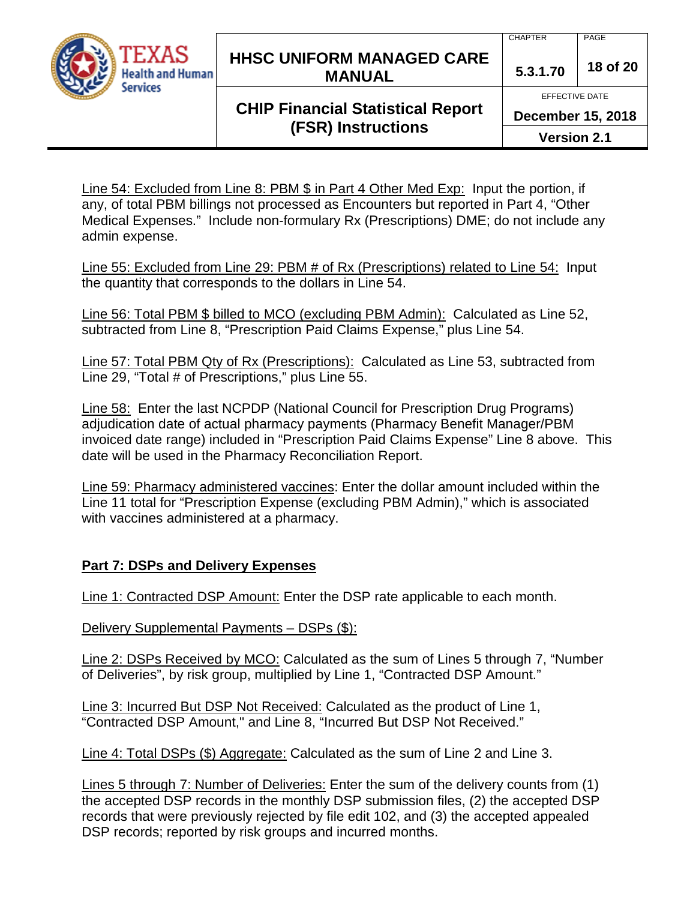

### **HHSC UNIFORM MANAGED CARE MANUAL 5.3.1.70 <sup>18</sup> of 20**

CHAPTER PAGE

## **CHIP Financial Statistical Report (FSR) Instructions**

EFFECTIVE DATE **December 15, 2018**

**Version 2.1**

Line 54: Excluded from Line 8: PBM \$ in Part 4 Other Med Exp: Input the portion, if any, of total PBM billings not processed as Encounters but reported in Part 4, "Other Medical Expenses." Include non-formulary Rx (Prescriptions) DME; do not include any admin expense.

Line 55: Excluded from Line 29: PBM # of Rx (Prescriptions) related to Line 54: Input the quantity that corresponds to the dollars in Line 54.

Line 56: Total PBM \$ billed to MCO (excluding PBM Admin): Calculated as Line 52, subtracted from Line 8, "Prescription Paid Claims Expense," plus Line 54.

Line 57: Total PBM Qty of Rx (Prescriptions): Calculated as Line 53, subtracted from Line 29, "Total # of Prescriptions," plus Line 55.

Line 58: Enter the last NCPDP (National Council for Prescription Drug Programs) adjudication date of actual pharmacy payments (Pharmacy Benefit Manager/PBM invoiced date range) included in "Prescription Paid Claims Expense" Line 8 above. This date will be used in the Pharmacy Reconciliation Report.

Line 59: Pharmacy administered vaccines: Enter the dollar amount included within the Line 11 total for "Prescription Expense (excluding PBM Admin)," which is associated with vaccines administered at a pharmacy.

### **Part 7: DSPs and Delivery Expenses**

Line 1: Contracted DSP Amount: Enter the DSP rate applicable to each month.

Delivery Supplemental Payments – DSPs (\$):

Line 2: DSPs Received by MCO: Calculated as the sum of Lines 5 through 7, "Number of Deliveries", by risk group, multiplied by Line 1, "Contracted DSP Amount."

Line 3: Incurred But DSP Not Received: Calculated as the product of Line 1, "Contracted DSP Amount," and Line 8, "Incurred But DSP Not Received."

Line 4: Total DSPs (\$) Aggregate: Calculated as the sum of Line 2 and Line 3.

Lines 5 through 7: Number of Deliveries: Enter the sum of the delivery counts from (1) the accepted DSP records in the monthly DSP submission files, (2) the accepted DSP records that were previously rejected by file edit 102, and (3) the accepted appealed DSP records; reported by risk groups and incurred months.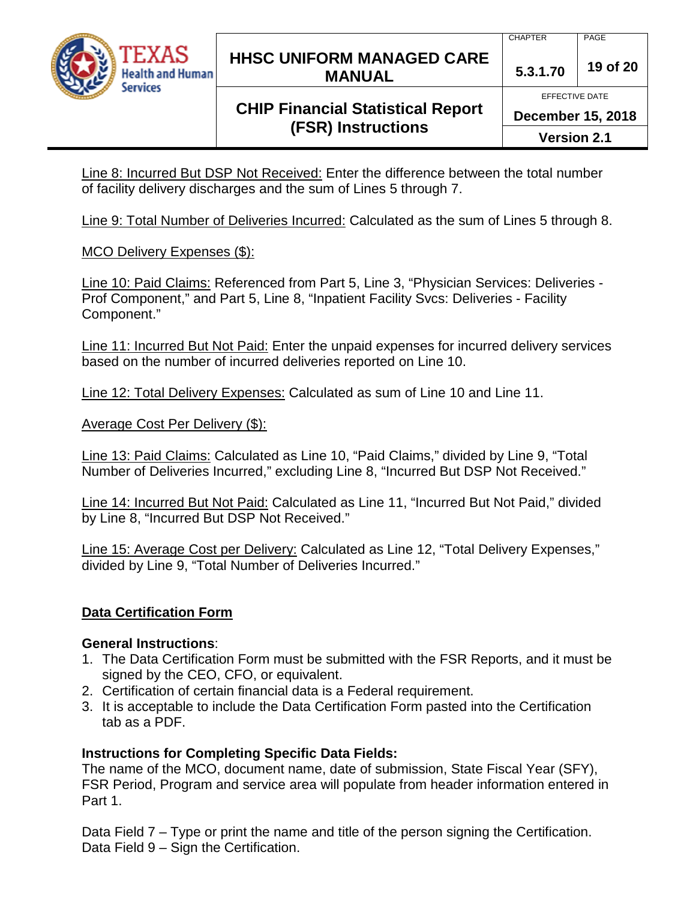

### **HHSC UNIFORM MANAGED CARE MANUAL 5.3.1.70 <sup>19</sup> of 20**

EFFECTIVE DATE

**December 15, 2018**

**CHIP Financial Statistical Report (FSR) Instructions**

**Version 2.1**

Line 8: Incurred But DSP Not Received: Enter the difference between the total number of facility delivery discharges and the sum of Lines 5 through 7.

Line 9: Total Number of Deliveries Incurred: Calculated as the sum of Lines 5 through 8.

### MCO Delivery Expenses (\$):

Line 10: Paid Claims: Referenced from Part 5, Line 3, "Physician Services: Deliveries - Prof Component," and Part 5, Line 8, "Inpatient Facility Svcs: Deliveries - Facility Component."

Line 11: Incurred But Not Paid: Enter the unpaid expenses for incurred delivery services based on the number of incurred deliveries reported on Line 10.

Line 12: Total Delivery Expenses: Calculated as sum of Line 10 and Line 11.

Average Cost Per Delivery (\$):

Line 13: Paid Claims: Calculated as Line 10, "Paid Claims," divided by Line 9, "Total Number of Deliveries Incurred," excluding Line 8, "Incurred But DSP Not Received."

Line 14: Incurred But Not Paid: Calculated as Line 11, "Incurred But Not Paid," divided by Line 8, "Incurred But DSP Not Received."

Line 15: Average Cost per Delivery: Calculated as Line 12, "Total Delivery Expenses," divided by Line 9, "Total Number of Deliveries Incurred."

### **Data Certification Form**

### **General Instructions**:

- 1. The Data Certification Form must be submitted with the FSR Reports, and it must be signed by the CEO, CFO, or equivalent.
- 2. Certification of certain financial data is a Federal requirement.
- 3. It is acceptable to include the Data Certification Form pasted into the Certification tab as a PDF.

### **Instructions for Completing Specific Data Fields:**

The name of the MCO, document name, date of submission, State Fiscal Year (SFY), FSR Period, Program and service area will populate from header information entered in Part 1.

Data Field 7 – Type or print the name and title of the person signing the Certification. Data Field 9 – Sign the Certification.